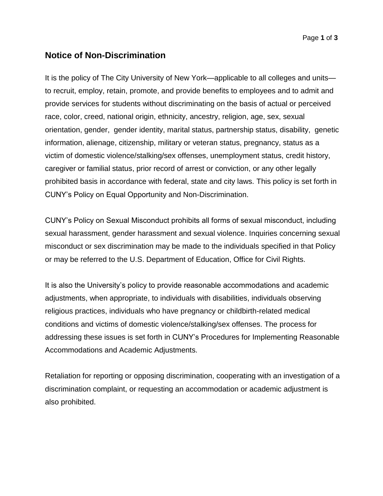# **Notice of Non-Discrimination**

It is the policy of The City University of New York—applicable to all colleges and units to recruit, employ, retain, promote, and provide benefits to employees and to admit and provide services for students without discriminating on the basis of actual or perceived race, color, creed, national origin, ethnicity, ancestry, religion, age, sex, sexual orientation, gender, gender identity, marital status, partnership status, disability, genetic information, alienage, citizenship, military or veteran status, pregnancy, status as a victim of domestic violence/stalking/sex offenses, unemployment status, credit history, caregiver or familial status, prior record of arrest or conviction, or any other legally prohibited basis in accordance with federal, state and city laws. This policy is set forth in CUNY's Policy on Equal Opportunity and Non-Discrimination.

CUNY's Policy on Sexual Misconduct prohibits all forms of sexual misconduct, including sexual harassment, gender harassment and sexual violence. Inquiries concerning sexual misconduct or sex discrimination may be made to the individuals specified in that Policy or may be referred to the U.S. Department of Education, Office for Civil Rights.

It is also the University's policy to provide reasonable accommodations and academic adjustments, when appropriate, to individuals with disabilities, individuals observing religious practices, individuals who have pregnancy or childbirth-related medical conditions and victims of domestic violence/stalking/sex offenses. The process for addressing these issues is set forth in CUNY's Procedures for Implementing Reasonable Accommodations and Academic Adjustments.

Retaliation for reporting or opposing discrimination, cooperating with an investigation of a discrimination complaint, or requesting an accommodation or academic adjustment is also prohibited.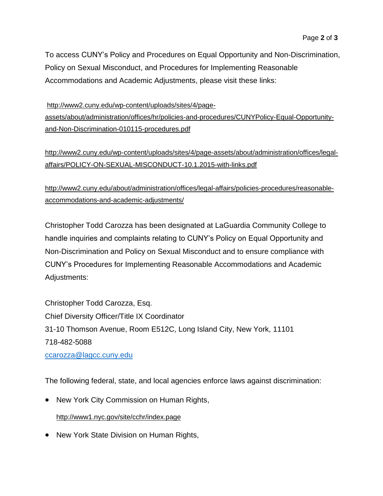To access CUNY's Policy and Procedures on Equal Opportunity and Non-Discrimination, Policy on Sexual Misconduct, and Procedures for Implementing Reasonable Accommodations and Academic Adjustments, please visit these links:

[http://www2.cuny.edu/wp-content/uploads/sites/4/page](http://www2.cuny.edu/wp-content/uploads/sites/4/page-assets/about/administration/offices/hr/policies-and-procedures/CUNYPolicy-Equal-Opportunity-and-Non-Discrimination-010115-procedures.pdf)[assets/about/administration/offices/hr/policies-and-procedures/CUNYPolicy-Equal-Opportunity](http://www2.cuny.edu/wp-content/uploads/sites/4/page-assets/about/administration/offices/hr/policies-and-procedures/CUNYPolicy-Equal-Opportunity-and-Non-Discrimination-010115-procedures.pdf)[and-Non-Discrimination-010115-procedures.pdf](http://www2.cuny.edu/wp-content/uploads/sites/4/page-assets/about/administration/offices/hr/policies-and-procedures/CUNYPolicy-Equal-Opportunity-and-Non-Discrimination-010115-procedures.pdf)

[http://www2.cuny.edu/wp-content/uploads/sites/4/page-assets/about/administration/offices/legal](http://www2.cuny.edu/wp-content/uploads/sites/4/page-assets/about/administration/offices/legal-affairs/POLICY-ON-SEXUAL-MISCONDUCT-10.1.2015-with-links.pdf)[affairs/POLICY-ON-SEXUAL-MISCONDUCT-10.1.2015-with-links.pdf](http://www2.cuny.edu/wp-content/uploads/sites/4/page-assets/about/administration/offices/legal-affairs/POLICY-ON-SEXUAL-MISCONDUCT-10.1.2015-with-links.pdf)

[http://www2.cuny.edu/about/administration/offices/legal-affairs/policies-procedures/reasonable](http://www2.cuny.edu/about/administration/offices/legal-affairs/policies-procedures/reasonable-accommodations-and-academic-adjustments/)[accommodations-and-academic-adjustments/](http://www2.cuny.edu/about/administration/offices/legal-affairs/policies-procedures/reasonable-accommodations-and-academic-adjustments/)

Christopher Todd Carozza has been designated at LaGuardia Community College to handle inquiries and complaints relating to CUNY's Policy on Equal Opportunity and Non-Discrimination and Policy on Sexual Misconduct and to ensure compliance with CUNY's Procedures for Implementing Reasonable Accommodations and Academic Adjustments:

Christopher Todd Carozza, Esq. Chief Diversity Officer/Title IX Coordinator 31-10 Thomson Avenue, Room E512C, Long Island City, New York, 11101 718-482-5088

[ccarozza@lagcc.cuny.edu](mailto:ccarozza@lagcc.cuny.edu)

The following federal, state, and local agencies enforce laws against discrimination:

• New York City Commission on Human Rights,

<http://www1.nyc.gov/site/cchr/index.page>

• New York State Division on Human Rights,